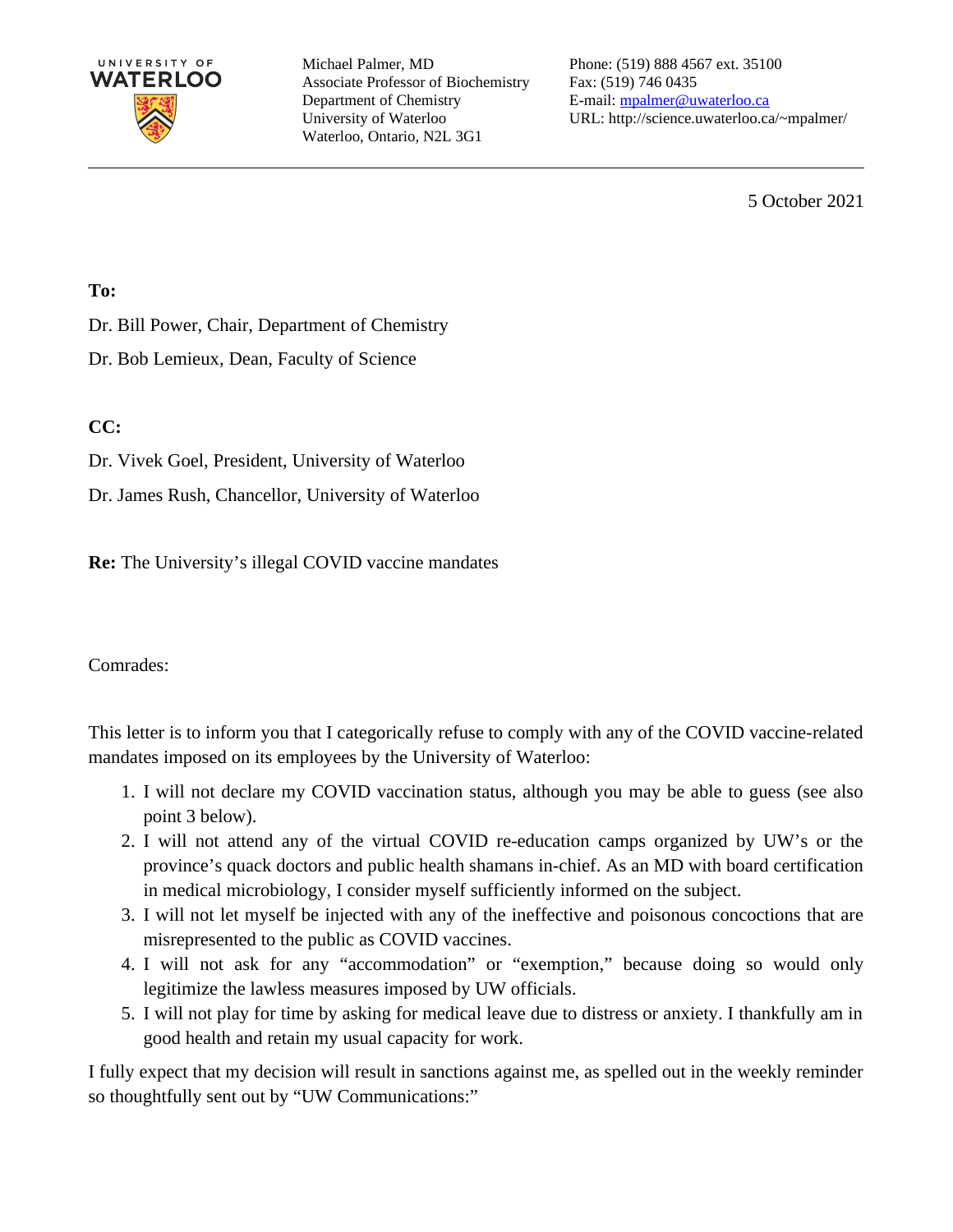

Michael Palmer, MD Associate Professor of Biochemistry Department of Chemistry University of Waterloo Waterloo, Ontario, N2L 3G1

Phone: (519) 888 4567 ext. 35100 Fax: (519) 746 0435 E-mail: [mpalmer@uwaterloo.ca](mailto:mpalmer@uwaterloo.ca) URL: http://science.uwaterloo.ca/~mpalmer/

5 October 2021

#### **To:**

Dr. Bill Power, Chair, Department of Chemistry

Dr. Bob Lemieux, Dean, Faculty of Science

#### **CC:**

Dr. Vivek Goel, President, University of Waterloo

Dr. James Rush, Chancellor, University of Waterloo

**Re:** The University's illegal COVID vaccine mandates

Comrades:

This letter is to inform you that I categorically refuse to comply with any of the COVID vaccine-related mandates imposed on its employees by the University of Waterloo:

- 1. I will not declare my COVID vaccination status, although you may be able to guess (see also point 3 below).
- 2. I will not attend any of the virtual COVID re-education camps organized by UW's or the province's quack doctors and public health shamans in-chief. As an MD with board certification in medical microbiology, I consider myself sufficiently informed on the subject.
- 3. I will not let myself be injected with any of the ineffective and poisonous concoctions that are misrepresented to the public as COVID vaccines.
- 4. I will not ask for any "accommodation" or "exemption," because doing so would only legitimize the lawless measures imposed by UW officials.
- 5. I will not play for time by asking for medical leave due to distress or anxiety. I thankfully am in good health and retain my usual capacity for work.

I fully expect that my decision will result in sanctions against me, as spelled out in the weekly reminder so thoughtfully sent out by "UW Communications:"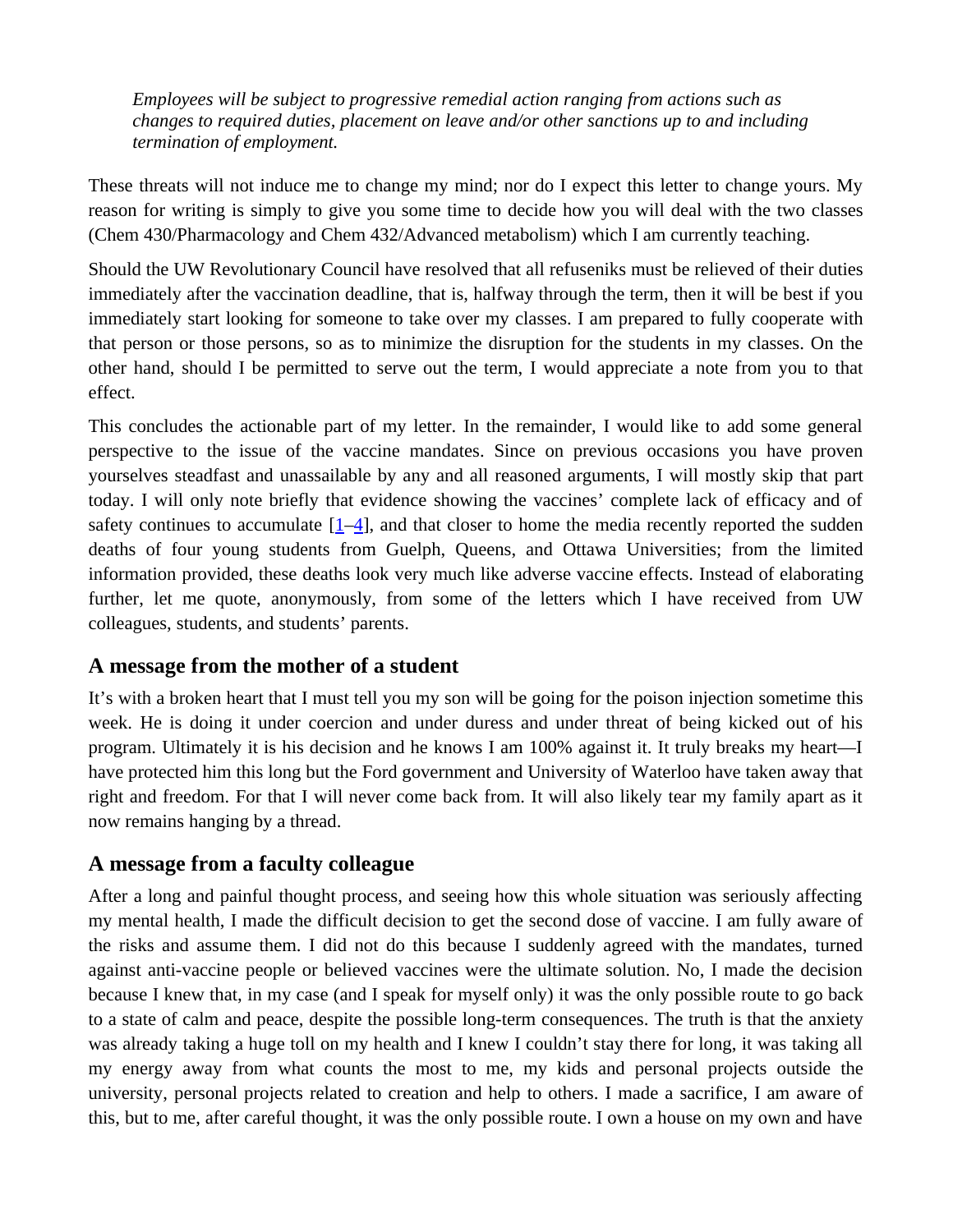*Employees will be subject to progressive remedial action ranging from actions such as changes to required duties, placement on leave and/or other sanctions up to and including termination of employment.*

These threats will not induce me to change my mind; nor do I expect this letter to change yours. My reason for writing is simply to give you some time to decide how you will deal with the two classes (Chem 430/Pharmacology and Chem 432/Advanced metabolism) which I am currently teaching.

Should the UW Revolutionary Council have resolved that all refuseniks must be relieved of their duties immediately after the vaccination deadline, that is, halfway through the term, then it will be best if you immediately start looking for someone to take over my classes. I am prepared to fully cooperate with that person or those persons, so as to minimize the disruption for the students in my classes. On the other hand, should I be permitted to serve out the term, I would appreciate a note from you to that effect.

This concludes the actionable part of my letter. In the remainder, I would like to add some general perspective to the issue of the vaccine mandates. Since on previous occasions you have proven yourselves steadfast and unassailable by any and all reasoned arguments, I will mostly skip that part today. I will only note briefly that evidence showing the vaccines' complete lack of efficacy and of safety continues to accumulate  $[1-4]$  $[1-4]$ , and that closer to home the media recently reported the sudden deaths of four young students from Guelph, Queens, and Ottawa Universities; from the limited information provided, these deaths look very much like adverse vaccine effects. Instead of elaborating further, let me quote, anonymously, from some of the letters which I have received from UW colleagues, students, and students' parents.

### **A message from the mother of a student**

It's with a broken heart that I must tell you my son will be going for the poison injection sometime this week. He is doing it under coercion and under duress and under threat of being kicked out of his program. Ultimately it is his decision and he knows I am 100% against it. It truly breaks my heart—I have protected him this long but the Ford government and University of Waterloo have taken away that right and freedom. For that I will never come back from. It will also likely tear my family apart as it now remains hanging by a thread.

### **A message from a faculty colleague**

After a long and painful thought process, and seeing how this whole situation was seriously affecting my mental health, I made the difficult decision to get the second dose of vaccine. I am fully aware of the risks and assume them. I did not do this because I suddenly agreed with the mandates, turned against anti-vaccine people or believed vaccines were the ultimate solution. No, I made the decision because I knew that, in my case (and I speak for myself only) it was the only possible route to go back to a state of calm and peace, despite the possible long-term consequences. The truth is that the anxiety was already taking a huge toll on my health and I knew I couldn't stay there for long, it was taking all my energy away from what counts the most to me, my kids and personal projects outside the university, personal projects related to creation and help to others. I made a sacrifice, I am aware of this, but to me, after careful thought, it was the only possible route. I own a house on my own and have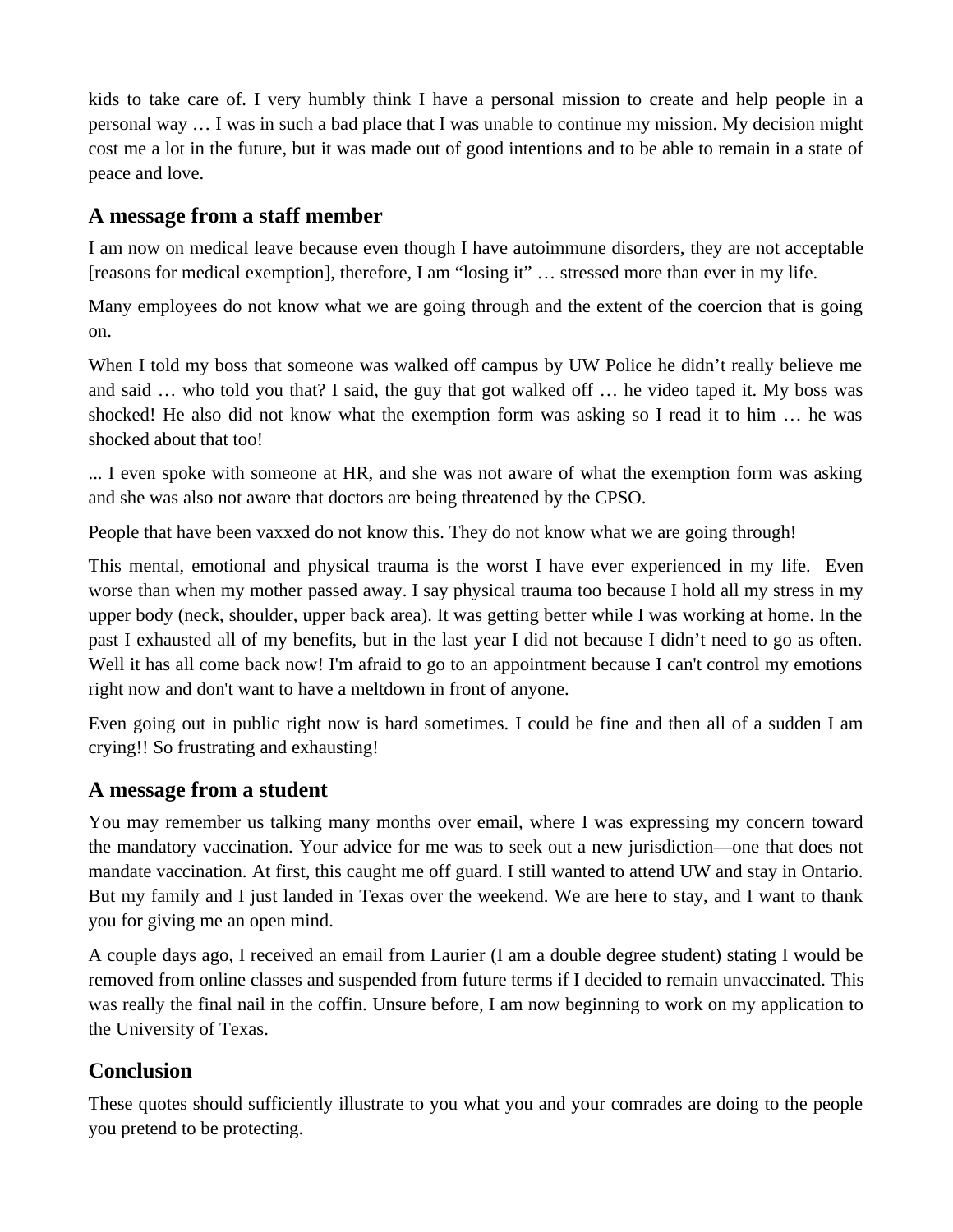kids to take care of. I very humbly think I have a personal mission to create and help people in a personal way … I was in such a bad place that I was unable to continue my mission. My decision might cost me a lot in the future, but it was made out of good intentions and to be able to remain in a state of peace and love.

## **A message from a staff member**

I am now on medical leave because even though I have autoimmune disorders, they are not acceptable [reasons for medical exemption], therefore, I am "losing it" … stressed more than ever in my life.

Many employees do not know what we are going through and the extent of the coercion that is going on.

When I told my boss that someone was walked off campus by UW Police he didn't really believe me and said … who told you that? I said, the guy that got walked off … he video taped it. My boss was shocked! He also did not know what the exemption form was asking so I read it to him … he was shocked about that too!

... I even spoke with someone at HR, and she was not aware of what the exemption form was asking and she was also not aware that doctors are being threatened by the CPSO.

People that have been vaxxed do not know this. They do not know what we are going through!

This mental, emotional and physical trauma is the worst I have ever experienced in my life. Even worse than when my mother passed away. I say physical trauma too because I hold all my stress in my upper body (neck, shoulder, upper back area). It was getting better while I was working at home. In the past I exhausted all of my benefits, but in the last year I did not because I didn't need to go as often. Well it has all come back now! I'm afraid to go to an appointment because I can't control my emotions right now and don't want to have a meltdown in front of anyone.

Even going out in public right now is hard sometimes. I could be fine and then all of a sudden I am crying!! So frustrating and exhausting!

# **A message from a student**

You may remember us talking many months over email, where I was expressing my concern toward the mandatory vaccination. Your advice for me was to seek out a new jurisdiction—one that does not mandate vaccination. At first, this caught me off guard. I still wanted to attend UW and stay in Ontario. But my family and I just landed in Texas over the weekend. We are here to stay, and I want to thank you for giving me an open mind.

A couple days ago, I received an email from Laurier (I am a double degree student) stating I would be removed from online classes and suspended from future terms if I decided to remain unvaccinated. This was really the final nail in the coffin. Unsure before, I am now beginning to work on my application to the University of Texas.

# **Conclusion**

These quotes should sufficiently illustrate to you what you and your comrades are doing to the people you pretend to be protecting.